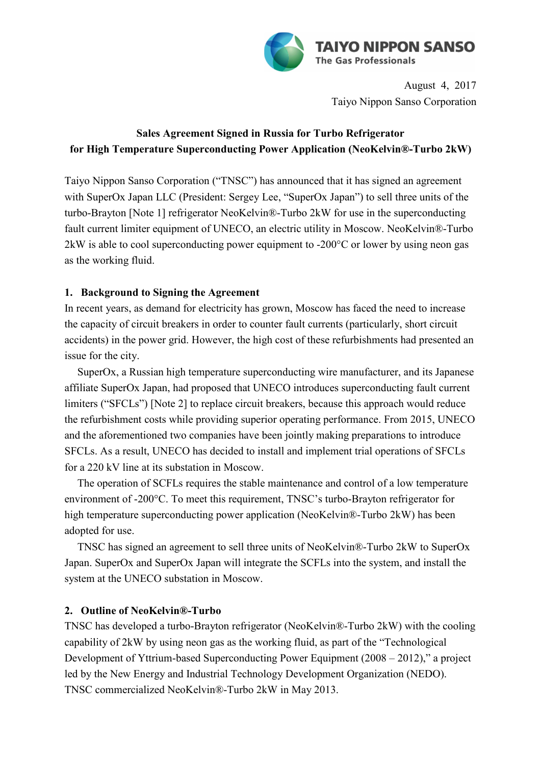

August 4, 2017 Taiyo Nippon Sanso Corporation

# **Sales Agreement Signed in Russia for Turbo Refrigerator for High Temperature Superconducting Power Application (NeoKelvin®-Turbo 2kW)**

Taiyo Nippon Sanso Corporation ("TNSC") has announced that it has signed an agreement with SuperOx Japan LLC (President: Sergey Lee, "SuperOx Japan") to sell three units of the turbo-Brayton [Note 1] refrigerator NeoKelvin®-Turbo 2kW for use in the superconducting fault current limiter equipment of UNECO, an electric utility in Moscow. NeoKelvin®-Turbo 2kW is able to cool superconducting power equipment to -200°C or lower by using neon gas as the working fluid.

### **1. Background to Signing the Agreement**

In recent years, as demand for electricity has grown, Moscow has faced the need to increase the capacity of circuit breakers in order to counter fault currents (particularly, short circuit accidents) in the power grid. However, the high cost of these refurbishments had presented an issue for the city.

SuperOx, a Russian high temperature superconducting wire manufacturer, and its Japanese affiliate SuperOx Japan, had proposed that UNECO introduces superconducting fault current limiters ("SFCLs") [Note 2] to replace circuit breakers, because this approach would reduce the refurbishment costs while providing superior operating performance. From 2015, UNECO and the aforementioned two companies have been jointly making preparations to introduce SFCLs. As a result, UNECO has decided to install and implement trial operations of SFCLs for a 220 kV line at its substation in Moscow.

The operation of SCFLs requires the stable maintenance and control of a low temperature environment of -200°C. To meet this requirement, TNSC's turbo-Brayton refrigerator for high temperature superconducting power application (NeoKelvin®-Turbo 2kW) has been adopted for use.

TNSC has signed an agreement to sell three units of NeoKelvin®-Turbo 2kW to SuperOx Japan. SuperOx and SuperOx Japan will integrate the SCFLs into the system, and install the system at the UNECO substation in Moscow.

### **2. Outline of NeoKelvin®-Turbo**

TNSC has developed a turbo-Brayton refrigerator (NeoKelvin®-Turbo 2kW) with the cooling capability of 2kW by using neon gas as the working fluid, as part of the "Technological Development of Yttrium-based Superconducting Power Equipment (2008 – 2012)," a project led by the New Energy and Industrial Technology Development Organization (NEDO). TNSC commercialized NeoKelvin®-Turbo 2kW in May 2013.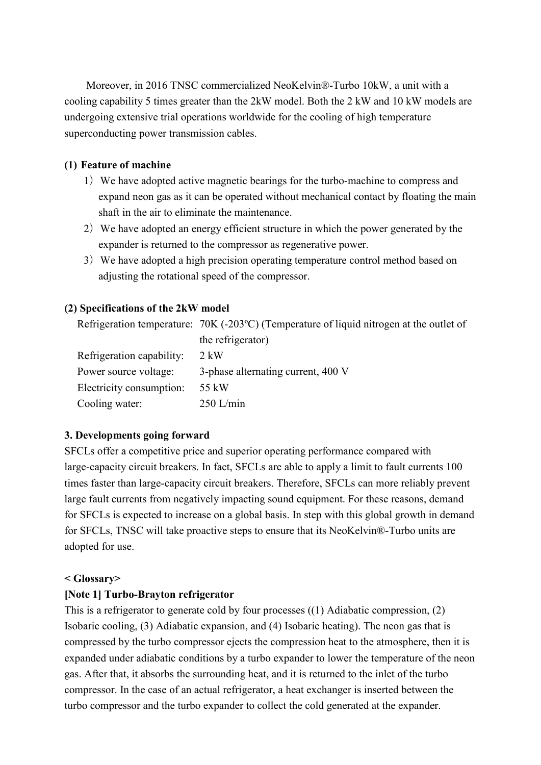Moreover, in 2016 TNSC commercialized NeoKelvin®-Turbo 10kW, a unit with a cooling capability 5 times greater than the 2kW model. Both the 2 kW and 10 kW models are undergoing extensive trial operations worldwide for the cooling of high temperature superconducting power transmission cables.

### **(1) Feature of machine**

- 1) We have adopted active magnetic bearings for the turbo-machine to compress and expand neon gas as it can be operated without mechanical contact by floating the main shaft in the air to eliminate the maintenance.
- 2) We have adopted an energy efficient structure in which the power generated by the expander is returned to the compressor as regenerative power.
- 3) We have adopted a high precision operating temperature control method based on adjusting the rotational speed of the compressor.

### **(2) Specifications of the 2kW model**

Refrigeration temperature: 70K (-203ºC) (Temperature of liquid nitrogen at the outlet of the refrigerator)

| Refrigeration capability: | 2 kW                               |
|---------------------------|------------------------------------|
| Power source voltage:     | 3-phase alternating current, 400 V |
| Electricity consumption:  | 55 kW                              |
| Cooling water:            | $250$ L/min                        |

### **3. Developments going forward**

SFCLs offer a competitive price and superior operating performance compared with large-capacity circuit breakers. In fact, SFCLs are able to apply a limit to fault currents 100 times faster than large-capacity circuit breakers. Therefore, SFCLs can more reliably prevent large fault currents from negatively impacting sound equipment. For these reasons, demand for SFCLs is expected to increase on a global basis. In step with this global growth in demand for SFCLs, TNSC will take proactive steps to ensure that its NeoKelvin®-Turbo units are adopted for use.

### **< Glossary>**

### **[Note 1] Turbo-Brayton refrigerator**

This is a refrigerator to generate cold by four processes ((1) Adiabatic compression, (2) Isobaric cooling, (3) Adiabatic expansion, and (4) Isobaric heating). The neon gas that is compressed by the turbo compressor ejects the compression heat to the atmosphere, then it is expanded under adiabatic conditions by a turbo expander to lower the temperature of the neon gas. After that, it absorbs the surrounding heat, and it is returned to the inlet of the turbo compressor. In the case of an actual refrigerator, a heat exchanger is inserted between the turbo compressor and the turbo expander to collect the cold generated at the expander.